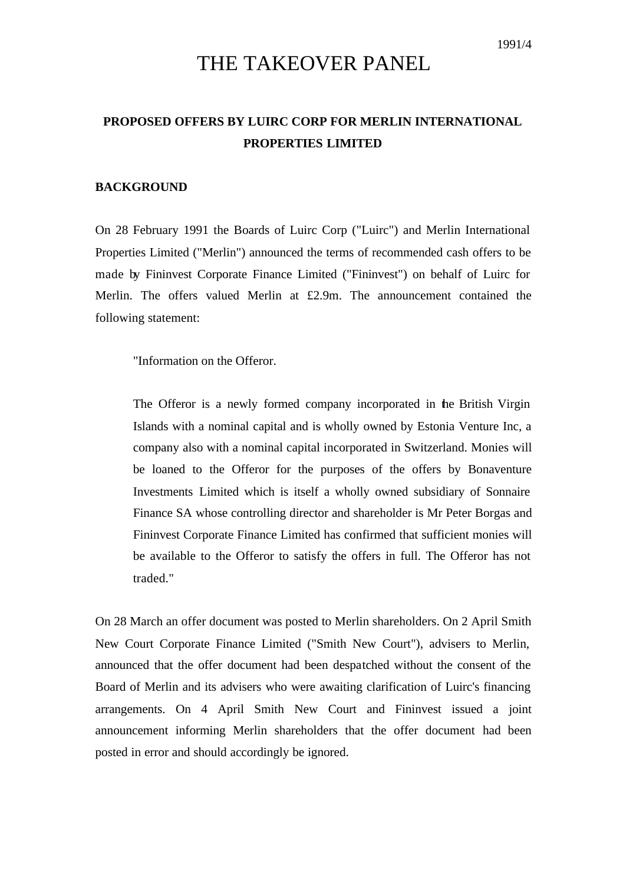# THE TAKEOVER PANEL

## **PROPOSED OFFERS BY LUIRC CORP FOR MERLIN INTERNATIONAL PROPERTIES LIMITED**

#### **BACKGROUND**

On 28 February 1991 the Boards of Luirc Corp ("Luirc") and Merlin International Properties Limited ("Merlin") announced the terms of recommended cash offers to be made by Fininvest Corporate Finance Limited ("Fininvest") on behalf of Luirc for Merlin. The offers valued Merlin at  $£2.9m$ . The announcement contained the following statement:

"Information on the Offeror.

The Offeror is a newly formed company incorporated in the British Virgin Islands with a nominal capital and is wholly owned by Estonia Venture Inc, a company also with a nominal capital incorporated in Switzerland. Monies will be loaned to the Offeror for the purposes of the offers by Bonaventure Investments Limited which is itself a wholly owned subsidiary of Sonnaire Finance SA whose controlling director and shareholder is Mr Peter Borgas and Fininvest Corporate Finance Limited has confirmed that sufficient monies will be available to the Offeror to satisfy the offers in full. The Offeror has not traded."

On 28 March an offer document was posted to Merlin shareholders. On 2 April Smith New Court Corporate Finance Limited ("Smith New Court"), advisers to Merlin, announced that the offer document had been despatched without the consent of the Board of Merlin and its advisers who were awaiting clarification of Luirc's financing arrangements. On 4 April Smith New Court and Fininvest issued a joint announcement informing Merlin shareholders that the offer document had been posted in error and should accordingly be ignored.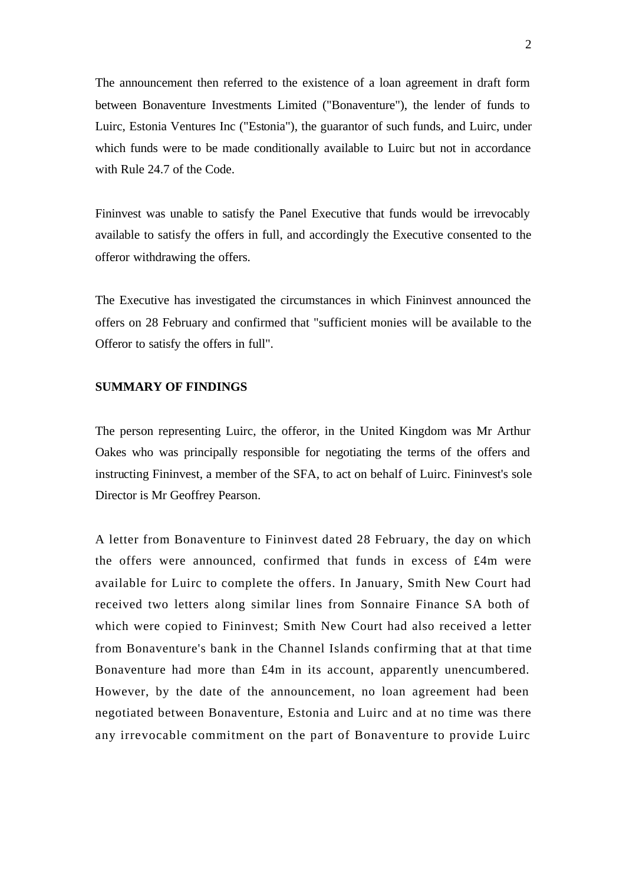The announcement then referred to the existence of a loan agreement in draft form between Bonaventure Investments Limited ("Bonaventure"), the lender of funds to Luirc, Estonia Ventures Inc ("Estonia"), the guarantor of such funds, and Luirc, under which funds were to be made conditionally available to Luirc but not in accordance with Rule 24.7 of the Code.

Fininvest was unable to satisfy the Panel Executive that funds would be irrevocably available to satisfy the offers in full, and accordingly the Executive consented to the offeror withdrawing the offers.

The Executive has investigated the circumstances in which Fininvest announced the offers on 28 February and confirmed that "sufficient monies will be available to the Offeror to satisfy the offers in full".

### **SUMMARY OF FINDINGS**

The person representing Luirc, the offeror, in the United Kingdom was Mr Arthur Oakes who was principally responsible for negotiating the terms of the offers and instructing Fininvest, a member of the SFA, to act on behalf of Luirc. Fininvest's sole Director is Mr Geoffrey Pearson.

A letter from Bonaventure to Fininvest dated 28 February, the day on which the offers were announced, confirmed that funds in excess of £4m were available for Luirc to complete the offers. In January, Smith New Court had received two letters along similar lines from Sonnaire Finance SA both of which were copied to Fininvest; Smith New Court had also received a letter from Bonaventure's bank in the Channel Islands confirming that at that time Bonaventure had more than £4m in its account, apparently unencumbered. However, by the date of the announcement, no loan agreement had been negotiated between Bonaventure, Estonia and Luirc and at no time was there any irrevocable commitment on the part of Bonaventure to provide Luirc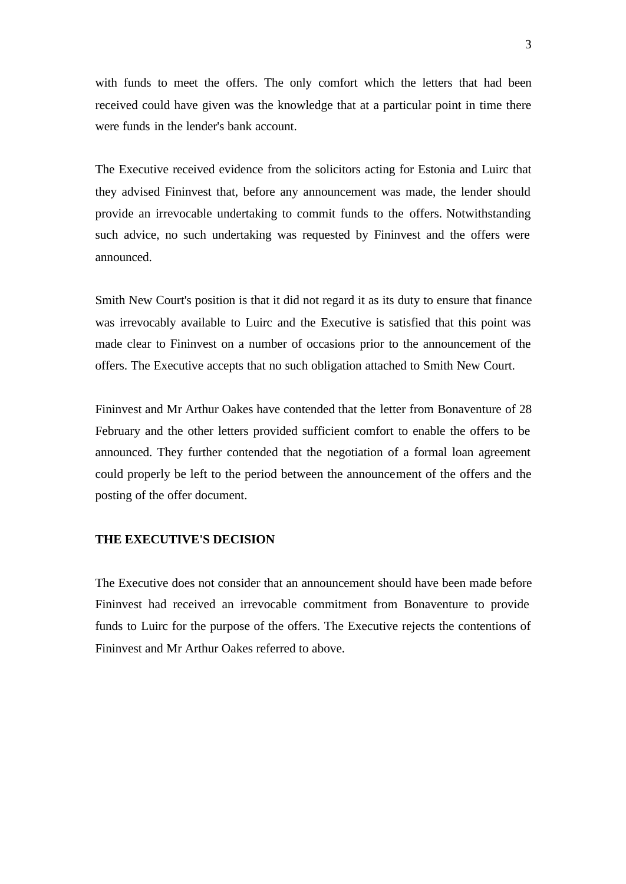with funds to meet the offers. The only comfort which the letters that had been received could have given was the knowledge that at a particular point in time there were funds in the lender's bank account.

The Executive received evidence from the solicitors acting for Estonia and Luirc that they advised Fininvest that, before any announcement was made, the lender should provide an irrevocable undertaking to commit funds to the offers. Notwithstanding such advice, no such undertaking was requested by Fininvest and the offers were announced.

Smith New Court's position is that it did not regard it as its duty to ensure that finance was irrevocably available to Luirc and the Executive is satisfied that this point was made clear to Fininvest on a number of occasions prior to the announcement of the offers. The Executive accepts that no such obligation attached to Smith New Court.

Fininvest and Mr Arthur Oakes have contended that the letter from Bonaventure of 28 February and the other letters provided sufficient comfort to enable the offers to be announced. They further contended that the negotiation of a formal loan agreement could properly be left to the period between the announcement of the offers and the posting of the offer document.

#### **THE EXECUTIVE'S DECISION**

The Executive does not consider that an announcement should have been made before Fininvest had received an irrevocable commitment from Bonaventure to provide funds to Luirc for the purpose of the offers. The Executive rejects the contentions of Fininvest and Mr Arthur Oakes referred to above.